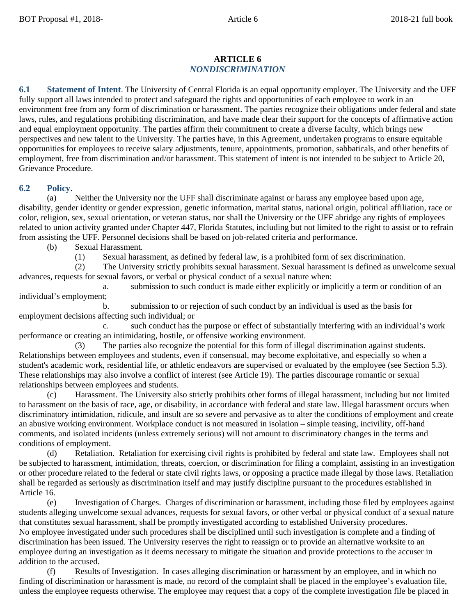## **ARTICLE 6** *NONDISCRIMINATION*

**6.1 Statement of Intent**. The University of Central Florida is an equal opportunity employer. The University and the UFF fully support all laws intended to protect and safeguard the rights and opportunities of each employee to work in an environment free from any form of discrimination or harassment. The parties recognize their obligations under federal and state laws, rules, and regulations prohibiting discrimination, and have made clear their support for the concepts of affirmative action and equal employment opportunity. The parties affirm their commitment to create a diverse faculty, which brings new perspectives and new talent to the University. The parties have, in this Agreement, undertaken programs to ensure equitable opportunities for employees to receive salary adjustments, tenure, appointments, promotion, sabbaticals, and other benefits of employment, free from discrimination and/or harassment. This statement of intent is not intended to be subject to Article 20, Grievance Procedure.

## **6.2 Policy**.

(a) Neither the University nor the UFF shall discriminate against or harass any employee based upon age, disability, gender identity or gender expression, genetic information, marital status, national origin, political affiliation, race or color, religion, sex, sexual orientation, or veteran status, nor shall the University or the UFF abridge any rights of employees related to union activity granted under Chapter 447, Florida Statutes, including but not limited to the right to assist or to refrain from assisting the UFF. Personnel decisions shall be based on job-related criteria and performance.

(b) Sexual Harassment.

(1) Sexual harassment, as defined by federal law, is a prohibited form of sex discrimination.

(2) The University strictly prohibits sexual harassment. Sexual harassment is defined as unwelcome sexual advances, requests for sexual favors, or verbal or physical conduct of a sexual nature when:

a. submission to such conduct is made either explicitly or implicitly a term or condition of an individual's employment;

b. submission to or rejection of such conduct by an individual is used as the basis for employment decisions affecting such individual; or

such conduct has the purpose or effect of substantially interfering with an individual's work performance or creating an intimidating, hostile, or offensive working environment.

(3) The parties also recognize the potential for this form of illegal discrimination against students. Relationships between employees and students, even if consensual, may become exploitative, and especially so when a student's academic work, residential life, or athletic endeavors are supervised or evaluated by the employee (see Section 5.3). These relationships may also involve a conflict of interest (see Article 19). The parties discourage romantic or sexual relationships between employees and students.

(c) Harassment. The University also strictly prohibits other forms of illegal harassment, including but not limited to harassment on the basis of race, age, or disability, in accordance with federal and state law. Illegal harassment occurs when discriminatory intimidation, ridicule, and insult are so severe and pervasive as to alter the conditions of employment and create an abusive working environment. Workplace conduct is not measured in isolation – simple teasing, incivility, off-hand comments, and isolated incidents (unless extremely serious) will not amount to discriminatory changes in the terms and conditions of employment.

(d) Retaliation. Retaliation for exercising civil rights is prohibited by federal and state law. Employees shall not be subjected to harassment, intimidation, threats, coercion, or discrimination for filing a complaint, assisting in an investigation or other procedure related to the federal or state civil rights laws, or opposing a practice made illegal by those laws. Retaliation shall be regarded as seriously as discrimination itself and may justify discipline pursuant to the procedures established in Article 16.

(e) Investigation of Charges. Charges of discrimination or harassment, including those filed by employees against students alleging unwelcome sexual advances, requests for sexual favors, or other verbal or physical conduct of a sexual nature that constitutes sexual harassment, shall be promptly investigated according to established University procedures. No employee investigated under such procedures shall be disciplined until such investigation is complete and a finding of discrimination has been issued. The University reserves the right to reassign or to provide an alternative worksite to an employee during an investigation as it deems necessary to mitigate the situation and provide protections to the accuser in addition to the accused.

Results of Investigation. In cases alleging discrimination or harassment by an employee, and in which no finding of discrimination or harassment is made, no record of the complaint shall be placed in the employee's evaluation file, unless the employee requests otherwise. The employee may request that a copy of the complete investigation file be placed in